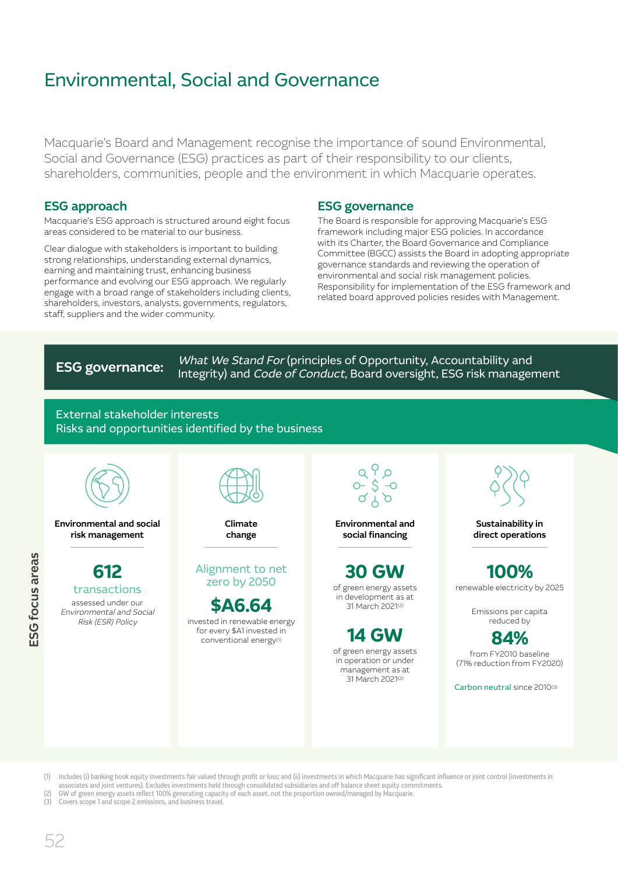Macquarie's Board and Management recognise the importance of sound Environmental, Social and Governance (ESG) practices as part of their responsibility to our clients, shareholders, communities, people and the environment in which Macquarie operates.

### ESG approach

Macquarie's ESG approach is structured around eight focus areas considered to be material to our business.

Clear dialogue with stakeholders is important to building strong relationships, understanding external dynamics, earning and maintaining trust, enhancing business performance and evolving our ESG approach. We regularly engage with a broad range of stakeholders including clients, shareholders, investors, analysts, governments, regulators, staff, suppliers and the wider community.

### ESG governance

The Board is responsible for approving Macquarie's ESG framework including major ESG policies. In accordance with its Charter, the Board Governance and Compliance Committee (BGCC) assists the Board in adopting appropriate governance standards and reviewing the operation of environmental and social risk management policies. Responsibility for implementation of the ESG framework and related board approved policies resides with Management.

ESG governance: What We Stand For (principles of Opportunity, Accountability and<br>ESG governance: Unterstity) and Gade of Canduat Beard averaight. ESG right management Integrity) and Code of Conduct, Board oversight, ESG risk management

### External stakeholder interests Risks and opportunities identified by the business



- (1) Includes (i) banking book equity investments fair valued through profit or loss; and (ii) investments in which Macquarie has significant influence or joint control (investments in associates and joint ventures). Excludes investments held through consolidated subsidiaries and off balance sheet equity commitments.
- FOU of green energy assets reflect 100% generating capacity of each asset, not the proportion owned/managed by Macquarie.<br>(2) GW of green energy assets reflect 100% generating capacity of each asset, not the proportion own
- Covers scope 1 and scope 2 emissions, and business travel.

52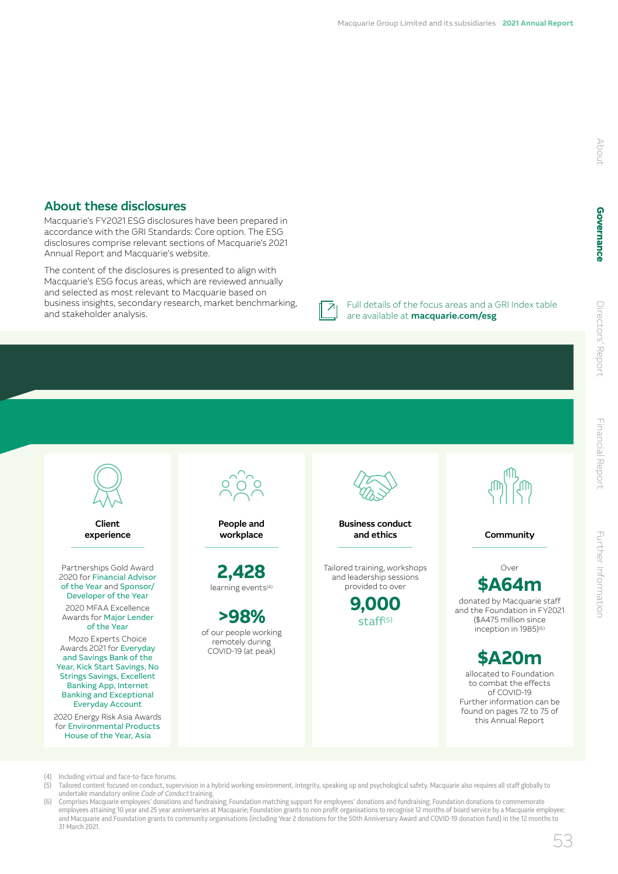### About these disclosures

Macquarie's FY2021 ESG disclosures have been prepared in accordance with the GRI Standards: Core option. The ESG disclosures comprise relevant sections of Macquarie's 2021 Annual Report and Macquarie's website.

The content of the disclosures is presented to align with Macquarie's ESG focus areas, which are reviewed annually and selected as most relevant to Macquarie based on business insights, secondary research, market benchmarking, and stakeholder analysis.

Full details of the focus areas and a GRI Index table are available at [macquarie.com/esg](http://macquarie.com/esg)



- (4) Including virtual and face-to-face forums.<br>(5) Tailored content focused on conduct. sup
- (5) Tailored content focused on conduct, supervision in a hybrid working environment, integrity, speaking up and psychological safety. Macquarie also requires all staff globally to<br>undertake mandatory online *Code of Condu*
- (6) Comprises Macquarie employees' donations and fundraising; Foundation matching support for employees' donations and fundraising; Foundation donations to commemorate employees attaining 10 year and 25 year anniversaries at Macquarie; Foundation grants to non profit organisations to recognise 12 months of board service by a Macquarie employee; and Macquarie and Foundation grants to community organisations (including Year 2 donations for the 50th Anniversary Award and COVID-19 donation fund) in the 12 months to 31 March 2021.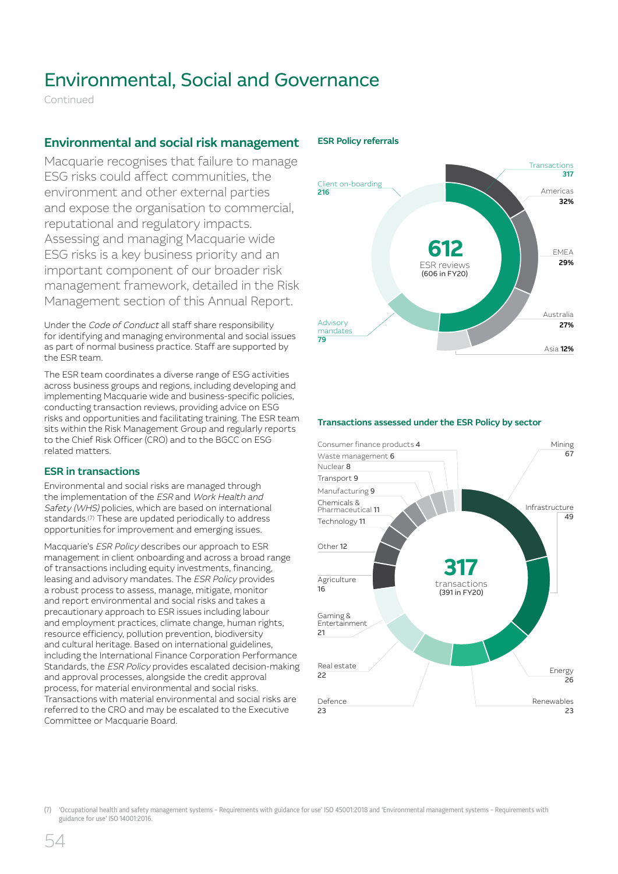Continued

### Environmental and social risk management

Macquarie recognises that failure to manage ESG risks could affect communities, the environment and other external parties and expose the organisation to commercial, reputational and regulatory impacts. Assessing and managing Macquarie wide ESG risks is a key business priority and an important component of our broader risk management framework, detailed in the Risk Management section of this Annual Report.

Under the Code of Conduct all staff share responsibility for identifying and managing environmental and social issues as part of normal business practice. Staff are supported by the ESR team.

The ESR team coordinates a diverse range of ESG activities across business groups and regions, including developing and implementing Macquarie wide and business-specific policies, conducting transaction reviews, providing advice on ESG risks and opportunities and facilitating training. The ESR team sits within the Risk Management Group and regularly reports to the Chief Risk Officer (CRO) and to the BGCC on ESG related matters.

### ESR in transactions

Environmental and social risks are managed through the implementation of the ESR and Work Health and Safety (WHS) policies, which are based on international standards.<sup>(7)</sup> These are updated periodically to address opportunities for improvement and emerging issues.

Macquarie's ESR Policy describes our approach to ESR management in client onboarding and across a broad range of transactions including equity investments, financing, leasing and advisory mandates. The ESR Policy provides a robust process to assess, manage, mitigate, monitor and report environmental and social risks and takes a precautionary approach to ESR issues including labour and employment practices, climate change, human rights, resource efficiency, pollution prevention, biodiversity and cultural heritage. Based on international guidelines, including the International Finance Corporation Performance Standards, the ESR Policy provides escalated decision-making and approval processes, alongside the credit approval process, for material environmental and social risks. Transactions with material environmental and social risks are referred to the CRO and may be escalated to the Executive Committee or Macquarie Board.



### ESR Policy referrals

### Transactions assessed under the ESR Policy by sector



<sup>(7)</sup> 'Occupational health and safety management systems – Requirements with guidance for use' ISO 45001:2018 and 'Environmental management systems – Requirements with guidance for use' ISO 14001:2016.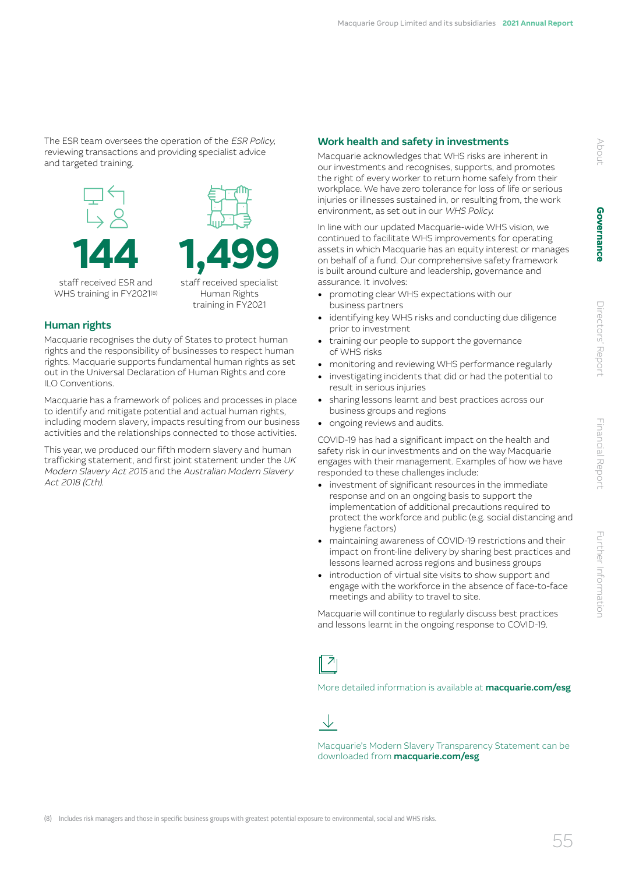The ESR team oversees the operation of the ESR Policy, reviewing transactions and providing specialist advice and targeted training.



Human Rights training in FY2021

### Human rights

Macquarie recognises the duty of States to protect human rights and the responsibility of businesses to respect human rights. Macquarie supports fundamental human rights as set out in the Universal Declaration of Human Rights and core ILO Conventions.

Macquarie has a framework of polices and processes in place to identify and mitigate potential and actual human rights, including modern slavery, impacts resulting from our business activities and the relationships connected to those activities.

This year, we produced our fifth modern slavery and human trafficking statement, and first joint statement under the UK Modern Slavery Act 2015 and the Australian Modern Slavery Act 2018 (Cth).

### Work health and safety in investments

Macquarie acknowledges that WHS risks are inherent in our investments and recognises, supports, and promotes the right of every worker to return home safely from their workplace. We have zero tolerance for loss of life or serious injuries or illnesses sustained in, or resulting from, the work environment, as set out in our WHS Policy.

In line with our updated Macquarie-wide WHS vision, we continued to facilitate WHS improvements for operating assets in which Macquarie has an equity interest or manages on behalf of a fund. Our comprehensive safety framework is built around culture and leadership, governance and assurance. It involves:

- promoting clear WHS expectations with our business partners
- identifying key WHS risks and conducting due diligence prior to investment
- training our people to support the governance of WHS risks
- monitoring and reviewing WHS performance regularly
- investigating incidents that did or had the potential to result in serious injuries
- sharing lessons learnt and best practices across our business groups and regions
- ongoing reviews and audits.

COVID-19 has had a significant impact on the health and safety risk in our investments and on the way Macquarie engages with their management. Examples of how we have responded to these challenges include:

- investment of significant resources in the immediate response and on an ongoing basis to support the implementation of additional precautions required to protect the workforce and public (e.g. social distancing and hygiene factors)
- maintaining awareness of COVID-19 restrictions and their impact on front-line delivery by sharing best practices and lessons learned across regions and business groups
- introduction of virtual site visits to show support and engage with the workforce in the absence of face-to-face meetings and ability to travel to site.

Macquarie will continue to regularly discuss best practices and lessons learnt in the ongoing response to COVID-19.

More detailed information is available at **[macquarie.com/esg](http://macquarie.com/esg )** 

J

Macquarie's Modern Slavery Transparency Statement can be downloaded from **[macquarie.com/esg](http://macquarie.com/esg)** 

About

Directors' Report

Directors' Report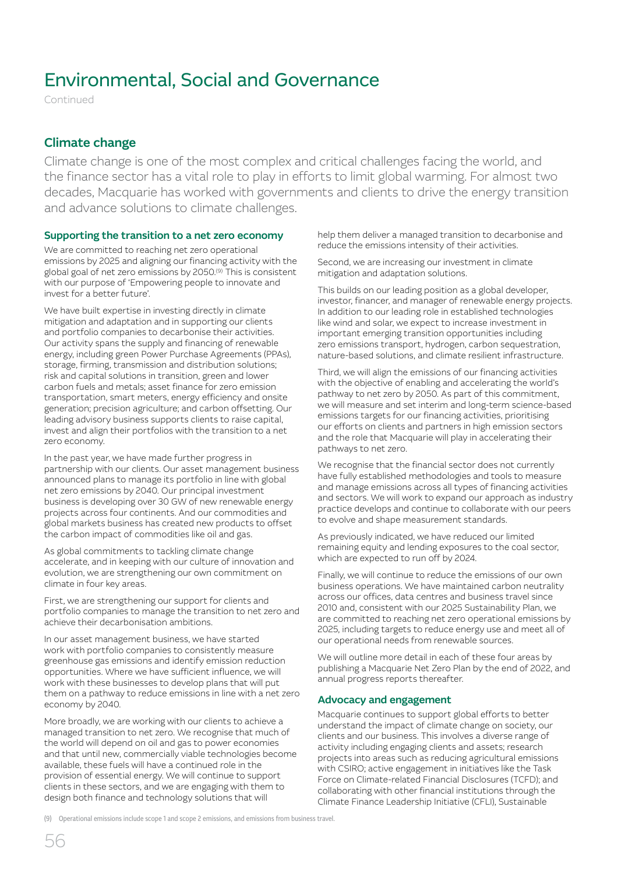Continued

### Climate change

Climate change is one of the most complex and critical challenges facing the world, and the finance sector has a vital role to play in efforts to limit global warming. For almost two decades, Macquarie has worked with governments and clients to drive the energy transition and advance solutions to climate challenges.

### Supporting the transition to a net zero economy

We are committed to reaching net zero operational emissions by 2025 and aligning our financing activity with the global goal of net zero emissions by 2050.(9) This is consistent with our purpose of 'Empowering people to innovate and invest for a better future'.

We have built expertise in investing directly in climate mitigation and adaptation and in supporting our clients and portfolio companies to decarbonise their activities. Our activity spans the supply and financing of renewable energy, including green Power Purchase Agreements (PPAs), storage, firming, transmission and distribution solutions; risk and capital solutions in transition, green and lower carbon fuels and metals; asset finance for zero emission transportation, smart meters, energy efficiency and onsite generation; precision agriculture; and carbon offsetting. Our leading advisory business supports clients to raise capital, invest and align their portfolios with the transition to a net zero economy.

In the past year, we have made further progress in partnership with our clients. Our asset management business announced plans to manage its portfolio in line with global net zero emissions by 2040. Our principal investment business is developing over 30 GW of new renewable energy projects across four continents. And our commodities and global markets business has created new products to offset the carbon impact of commodities like oil and gas.

As global commitments to tackling climate change accelerate, and in keeping with our culture of innovation and evolution, we are strengthening our own commitment on climate in four key areas.

First, we are strengthening our support for clients and portfolio companies to manage the transition to net zero and achieve their decarbonisation ambitions.

In our asset management business, we have started work with portfolio companies to consistently measure greenhouse gas emissions and identify emission reduction opportunities. Where we have sufficient influence, we will work with these businesses to develop plans that will put them on a pathway to reduce emissions in line with a net zero economy by 2040.

More broadly, we are working with our clients to achieve a managed transition to net zero. We recognise that much of the world will depend on oil and gas to power economies and that until new, commercially viable technologies become available, these fuels will have a continued role in the provision of essential energy. We will continue to support clients in these sectors, and we are engaging with them to design both finance and technology solutions that will

help them deliver a managed transition to decarbonise and reduce the emissions intensity of their activities.

Second, we are increasing our investment in climate mitigation and adaptation solutions.

This builds on our leading position as a global developer, investor, financer, and manager of renewable energy projects. In addition to our leading role in established technologies like wind and solar, we expect to increase investment in important emerging transition opportunities including zero emissions transport, hydrogen, carbon sequestration, nature-based solutions, and climate resilient infrastructure.

Third, we will align the emissions of our financing activities with the objective of enabling and accelerating the world's pathway to net zero by 2050. As part of this commitment, we will measure and set interim and long-term science-based emissions targets for our financing activities, prioritising our efforts on clients and partners in high emission sectors and the role that Macquarie will play in accelerating their pathways to net zero.

We recognise that the financial sector does not currently have fully established methodologies and tools to measure and manage emissions across all types of financing activities and sectors. We will work to expand our approach as industry practice develops and continue to collaborate with our peers to evolve and shape measurement standards.

As previously indicated, we have reduced our limited remaining equity and lending exposures to the coal sector, which are expected to run off by 2024.

Finally, we will continue to reduce the emissions of our own business operations. We have maintained carbon neutrality across our offices, data centres and business travel since 2010 and, consistent with our 2025 Sustainability Plan, we are committed to reaching net zero operational emissions by 2025, including targets to reduce energy use and meet all of our operational needs from renewable sources.

We will outline more detail in each of these four areas by publishing a Macquarie Net Zero Plan by the end of 2022, and annual progress reports thereafter.

### Advocacy and engagement

Macquarie continues to support global efforts to better understand the impact of climate change on society, our clients and our business. This involves a diverse range of activity including engaging clients and assets; research projects into areas such as reducing agricultural emissions with CSIRO; active engagement in initiatives like the Task Force on Climate-related Financial Disclosures (TCFD); and collaborating with other financial institutions through the Climate Finance Leadership Initiative (CFLI), Sustainable

(9) Operational emissions include scope 1 and scope 2 emissions, and emissions from business travel.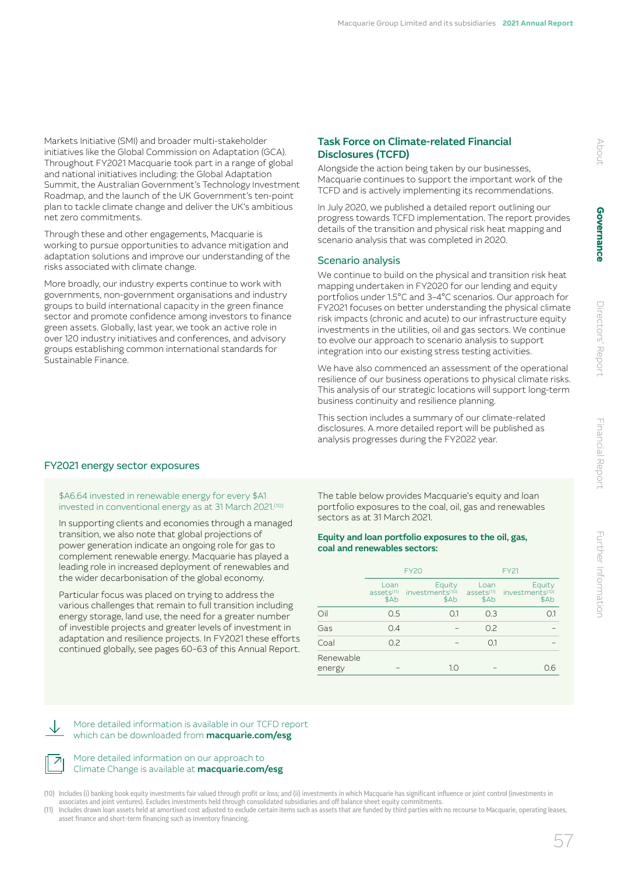Markets Initiative (SMI) and broader multi-stakeholder initiatives like the Global Commission on Adaptation (GCA). Throughout FY2021 Macquarie took part in a range of global and national initiatives including: the Global Adaptation Summit, the Australian Government's Technology Investment Roadmap, and the launch of the UK Government's ten-point plan to tackle climate change and deliver the UK's ambitious net zero commitments.

Through these and other engagements, Macquarie is working to pursue opportunities to advance mitigation and adaptation solutions and improve our understanding of the risks associated with climate change.

More broadly, our industry experts continue to work with governments, non-government organisations and industry groups to build international capacity in the green finance sector and promote confidence among investors to finance green assets. Globally, last year, we took an active role in over 120 industry initiatives and conferences, and advisory groups establishing common international standards for Sustainable Finance.

### Task Force on Climate-related Financial Disclosures (TCFD)

Alongside the action being taken by our businesses, Macquarie continues to support the important work of the TCFD and is actively implementing its recommendations.

In July 2020, we published a detailed report outlining our progress towards TCFD implementation. The report provides details of the transition and physical risk heat mapping and scenario analysis that was completed in 2020.

### Scenario analysis

We continue to build on the physical and transition risk heat mapping undertaken in FY2020 for our lending and equity portfolios under 1.5°C and 3–4°C scenarios. Our approach for FY2021 focuses on better understanding the physical climate risk impacts (chronic and acute) to our infrastructure equity investments in the utilities, oil and gas sectors. We continue to evolve our approach to scenario analysis to support integration into our existing stress testing activities.

We have also commenced an assessment of the operational resilience of our business operations to physical climate risks. This analysis of our strategic locations will support long-term business continuity and resilience planning.

This section includes a summary of our climate-related disclosures. A more detailed report will be published as analysis progresses during the FY2022 year.

### FY2021 energy sector exposures

\$A6.64 invested in renewable energy for every \$A1 invested in conventional energy as at 31 March 2021.(10)

In supporting clients and economies through a managed transition, we also note that global projections of power generation indicate an ongoing role for gas to complement renewable energy. Macquarie has played a leading role in increased deployment of renewables and the wider decarbonisation of the global economy.

Particular focus was placed on trying to address the various challenges that remain to full transition including energy storage, land use, the need for a greater number of investible projects and greater levels of investment in adaptation and resilience projects. In FY2021 these efforts continued globally, see pages 60–63 of this Annual Report.

The table below provides Macquarie's equity and loan portfolio exposures to the coal, oil, gas and renewables sectors as at 31 March 2021.

### Equity and loan portfolio exposures to the oil, gas, coal and renewables sectors:

|                     | <b>FY20</b>                            |                                               | <b>FY21</b>                            |                                               |
|---------------------|----------------------------------------|-----------------------------------------------|----------------------------------------|-----------------------------------------------|
|                     | Loan<br>assets <sup>(11)</sup><br>\$Ab | Equity<br>investments <sup>(10)</sup><br>\$Ab | Loan<br>assets <sup>(11)</sup><br>\$Ab | Equity<br>investments <sup>(10)</sup><br>\$Ab |
| Oil                 | 0.5                                    | O.1                                           | 0.3                                    | Ο.1                                           |
| Gas                 | 0.4                                    |                                               | 0.2                                    |                                               |
| Coal                | 0.2                                    |                                               | O.1                                    |                                               |
| Renewable<br>energy |                                        | 1.0                                           |                                        | 0.6                                           |

More detailed information is available in our TCFD report which can be downloaded from **[macquarie.com/esg](http://macquarie.com/esg)** 

### More detailed information on our approach to Climate Change is available at [macquarie.com/esg](http://macquarie.com/esg)

(10) Includes (i) banking book equity investments fair valued through profit or loss; and (ii) investments in which Macquarie has significant influence or joint control (investments in associates and joint ventures). Excludes investments held through consolidated subsidiaries and off balance sheet equity commitments.

(11) Includes drawn loan assets held at amortised cost adjusted to exclude certain items such as assets that are funded by third parties with no recourse to Macquarie, operating leases, asset finance and short-term financing such as inventory financing.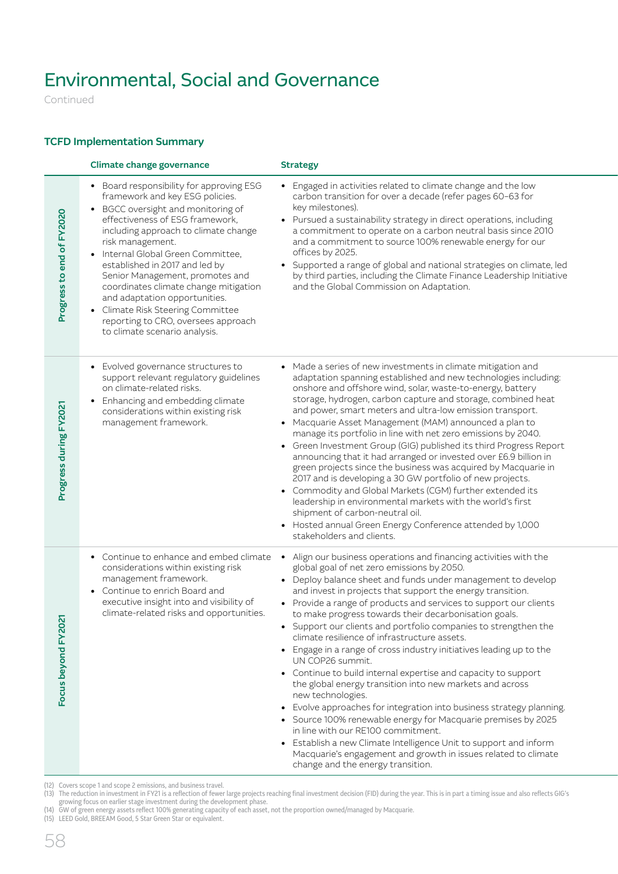Continued

### TCFD Implementation Summary

|                           | Climate change governance                                                                                                                                                                                                                                                                                                                                                                                                                                                                                          | <b>Strategy</b>                                                                                                                                                                                                                                                                                                                                                                                                                                                                                                                                                                                                                                                                                                                                                                                                                                                                                                                                                                                                                                                                                       |
|---------------------------|--------------------------------------------------------------------------------------------------------------------------------------------------------------------------------------------------------------------------------------------------------------------------------------------------------------------------------------------------------------------------------------------------------------------------------------------------------------------------------------------------------------------|-------------------------------------------------------------------------------------------------------------------------------------------------------------------------------------------------------------------------------------------------------------------------------------------------------------------------------------------------------------------------------------------------------------------------------------------------------------------------------------------------------------------------------------------------------------------------------------------------------------------------------------------------------------------------------------------------------------------------------------------------------------------------------------------------------------------------------------------------------------------------------------------------------------------------------------------------------------------------------------------------------------------------------------------------------------------------------------------------------|
| Progress to end of FY2020 | • Board responsibility for approving ESG<br>framework and key ESG policies.<br>• BGCC oversight and monitoring of<br>effectiveness of ESG framework,<br>including approach to climate change<br>risk management.<br>• Internal Global Green Committee.<br>established in 2017 and led by<br>Senior Management, promotes and<br>coordinates climate change mitigation<br>and adaptation opportunities.<br>• Climate Risk Steering Committee<br>reporting to CRO, oversees approach<br>to climate scenario analysis. | • Engaged in activities related to climate change and the low<br>carbon transition for over a decade (refer pages 60-63 for<br>key milestones).<br>• Pursued a sustainability strategy in direct operations, including<br>a commitment to operate on a carbon neutral basis since 2010<br>and a commitment to source 100% renewable energy for our<br>offices by 2025.<br>• Supported a range of global and national strategies on climate, led<br>by third parties, including the Climate Finance Leadership Initiative<br>and the Global Commission on Adaptation.                                                                                                                                                                                                                                                                                                                                                                                                                                                                                                                                  |
| Progress during FY2021    | • Evolved governance structures to<br>support relevant regulatory guidelines<br>on climate-related risks.<br>• Enhancing and embedding climate<br>considerations within existing risk<br>management framework.                                                                                                                                                                                                                                                                                                     | • Made a series of new investments in climate mitigation and<br>adaptation spanning established and new technologies including:<br>onshore and offshore wind, solar, waste-to-energy, battery<br>storage, hydrogen, carbon capture and storage, combined heat<br>and power, smart meters and ultra-low emission transport.<br>• Macquarie Asset Management (MAM) announced a plan to<br>manage its portfolio in line with net zero emissions by 2040.<br>• Green Investment Group (GIG) published its third Progress Report<br>announcing that it had arranged or invested over £6.9 billion in<br>green projects since the business was acquired by Macquarie in<br>2017 and is developing a 30 GW portfolio of new projects.<br>• Commodity and Global Markets (CGM) further extended its<br>leadership in environmental markets with the world's first<br>shipment of carbon-neutral oil.<br>• Hosted annual Green Energy Conference attended by 1,000<br>stakeholders and clients.                                                                                                                |
| Focus beyond FY2021       | • Continue to enhance and embed climate<br>considerations within existing risk<br>management framework.<br>• Continue to enrich Board and<br>executive insight into and visibility of<br>climate-related risks and opportunities.                                                                                                                                                                                                                                                                                  | Align our business operations and financing activities with the<br>global goal of net zero emissions by 2050.<br>• Deploy balance sheet and funds under management to develop<br>and invest in projects that support the energy transition.<br>• Provide a range of products and services to support our clients<br>to make progress towards their decarbonisation goals.<br>• Support our clients and portfolio companies to strengthen the<br>climate resilience of infrastructure assets.<br>• Engage in a range of cross industry initiatives leading up to the<br>UN COP26 summit.<br>• Continue to build internal expertise and capacity to support<br>the global energy transition into new markets and across<br>new technologies.<br>• Evolve approaches for integration into business strategy planning.<br>• Source 100% renewable energy for Macquarie premises by 2025<br>in line with our RE100 commitment.<br>• Establish a new Climate Intelligence Unit to support and inform<br>Macquarie's engagement and growth in issues related to climate<br>change and the energy transition. |

(12) Covers scope 1 and scope 2 emissions, and business travel.

(13) The reduction in investment in FY21 is a reflection of fewer large projects reaching final investment decision (FID) during the year. This is in part a timing issue and also reflects GIG's growing focus on earlier stage investment during the development phase.

(14) GW of green energy assets reflect 100% generating capacity of each asset, not the proportion owned/managed by Macquarie.

(15) LEED Gold, BREEAM Good, 5 Star Green Star or equivalent.

58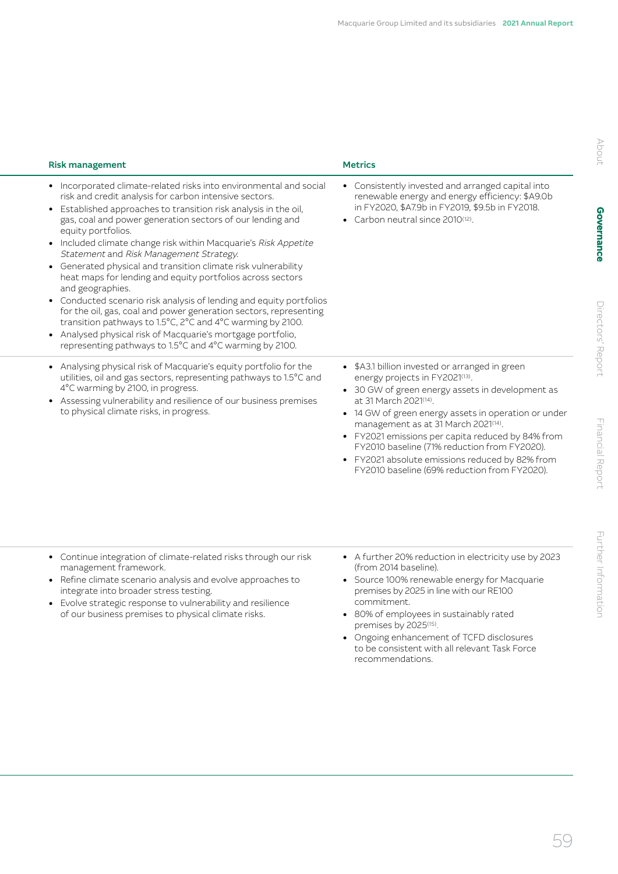| <b>Risk management</b>                                                                                                                                                                                                                                                                                                                                                                                                                                                                                                                                                                                                                                                                                                                                                                                                                                                                    | <b>Metrics</b>                                                                                                                                                                                                                                                                                                                                                                                                                                                       |
|-------------------------------------------------------------------------------------------------------------------------------------------------------------------------------------------------------------------------------------------------------------------------------------------------------------------------------------------------------------------------------------------------------------------------------------------------------------------------------------------------------------------------------------------------------------------------------------------------------------------------------------------------------------------------------------------------------------------------------------------------------------------------------------------------------------------------------------------------------------------------------------------|----------------------------------------------------------------------------------------------------------------------------------------------------------------------------------------------------------------------------------------------------------------------------------------------------------------------------------------------------------------------------------------------------------------------------------------------------------------------|
| • Incorporated climate-related risks into environmental and social<br>risk and credit analysis for carbon intensive sectors.<br>• Established approaches to transition risk analysis in the oil,<br>gas, coal and power generation sectors of our lending and<br>equity portfolios.<br>• Included climate change risk within Macquarie's Risk Appetite<br>Statement and Risk Management Strategy.<br>• Generated physical and transition climate risk vulnerability<br>heat maps for lending and equity portfolios across sectors<br>and geographies.<br>• Conducted scenario risk analysis of lending and equity portfolios<br>for the oil, gas, coal and power generation sectors, representing<br>transition pathways to 1.5°C, 2°C and 4°C warming by 2100.<br>• Analysed physical risk of Macquarie's mortgage portfolio,<br>representing pathways to 1.5°C and 4°C warming by 2100. | • Consistently invested and arranged capital into<br>renewable energy and energy efficiency: \$A9.0b<br>in FY2020, \$A7.9b in FY2019, \$9.5b in FY2018.<br>• Carbon neutral since 2010 <sup>(12)</sup> .                                                                                                                                                                                                                                                             |
| • Analysing physical risk of Macquarie's equity portfolio for the<br>utilities, oil and gas sectors, representing pathways to 1.5°C and<br>4°C warming by 2100, in progress.<br>• Assessing vulnerability and resilience of our business premises<br>to physical climate risks, in progress.                                                                                                                                                                                                                                                                                                                                                                                                                                                                                                                                                                                              | • \$A3.1 billion invested or arranged in green<br>energy projects in FY2021(13).<br>• 30 GW of green energy assets in development as<br>at 31 March 2021(14).<br>• 14 GW of green energy assets in operation or under<br>management as at 31 March 2021(14).<br>• FY2021 emissions per capita reduced by 84% from<br>FY2010 baseline (71% reduction from FY2020).<br>• FY2021 absolute emissions reduced by 82% from<br>FY2010 baseline (69% reduction from FY2020). |
| • Continue integration of climate-related risks through our risk<br>management framework.                                                                                                                                                                                                                                                                                                                                                                                                                                                                                                                                                                                                                                                                                                                                                                                                 | • A further 20% reduction in electricity use by 2023<br>(from 2014 baseline).                                                                                                                                                                                                                                                                                                                                                                                        |
| • Refine climate scenario analysis and evolve approaches to<br>integrate into broader stress testing.                                                                                                                                                                                                                                                                                                                                                                                                                                                                                                                                                                                                                                                                                                                                                                                     | • Source 100% renewable energy for Macquarie<br>premises by 2025 in line with our RE100                                                                                                                                                                                                                                                                                                                                                                              |

- Evolve strategic response to vulnerability and resilience of our business premises to physical climate risks.
- commitment.
- 80% of employees in sustainably rated premises by 2025(15).
- Ongoing enhancement of TCFD disclosures to be consistent with all relevant Task Force recommendations.

Further Information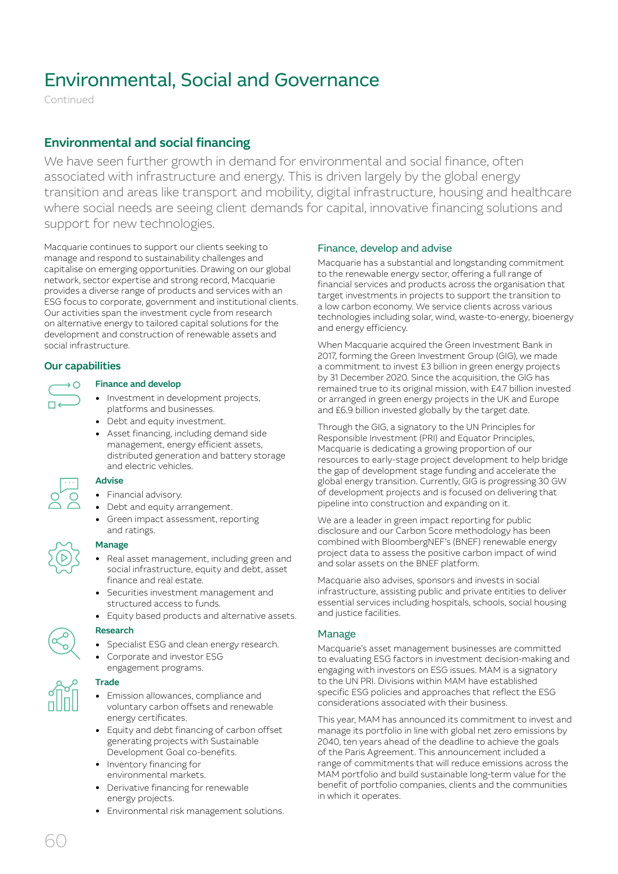Continued

## Environmental and social financing

We have seen further growth in demand for environmental and social finance, often associated with infrastructure and energy. This is driven largely by the global energy transition and areas like transport and mobility, digital infrastructure, housing and healthcare where social needs are seeing client demands for capital, innovative financing solutions and support for new technologies.

Macquarie continues to support our clients seeking to manage and respond to sustainability challenges and capitalise on emerging opportunities. Drawing on our global network, sector expertise and strong record, Macquarie provides a diverse range of products and services with an ESG focus to corporate, government and institutional clients. Our activities span the investment cycle from research on alternative energy to tailored capital solutions for the development and construction of renewable assets and social infrastructure.

### Our capabilities

### Finance and develop

- Investment in development projects, platforms and businesses.
- Debt and equity investment.
- Asset financing, including demand side management, energy efficient assets, distributed generation and battery storage and electric vehicles.

### Advise

- Financial advisory.
- Debt and equity arrangement.
- Green impact assessment, reporting and ratings.

### Manage

- Real asset management, including green and social infrastructure, equity and debt, asset finance and real estate.
- Securities investment management and structured access to funds.
- Equity based products and alternative assets.

### Research

- Specialist ESG and clean energy research.
- Corporate and investor ESG engagement programs.



### **Trade**

- Emission allowances, compliance and voluntary carbon offsets and renewable energy certificates.
- Equity and debt financing of carbon offset generating projects with Sustainable Development Goal co-benefits.
- Inventory financing for environmental markets.
- Derivative financing for renewable energy projects.
- Environmental risk management solutions.

### Finance, develop and advise

Macquarie has a substantial and longstanding commitment to the renewable energy sector, offering a full range of financial services and products across the organisation that target investments in projects to support the transition to a low carbon economy. We service clients across various technologies including solar, wind, waste-to-energy, bioenergy and energy efficiency.

When Macquarie acquired the Green Investment Bank in 2017, forming the Green Investment Group (GIG), we made a commitment to invest £3 billion in green energy projects by 31 December 2020. Since the acquisition, the GIG has remained true to its original mission, with £4.7 billion invested or arranged in green energy projects in the UK and Europe and £6.9 billion invested globally by the target date.

Through the GIG, a signatory to the UN Principles for Responsible Investment (PRI) and Equator Principles, Macquarie is dedicating a growing proportion of our resources to early-stage project development to help bridge the gap of development stage funding and accelerate the global energy transition. Currently, GIG is progressing 30 GW of development projects and is focused on delivering that pipeline into construction and expanding on it.

We are a leader in green impact reporting for public disclosure and our Carbon Score methodology has been combined with BloombergNEF's (BNEF) renewable energy project data to assess the positive carbon impact of wind and solar assets on the BNEF platform.

Macquarie also advises, sponsors and invests in social infrastructure, assisting public and private entities to deliver essential services including hospitals, schools, social housing and justice facilities.

### Manage

Macquarie's asset management businesses are committed to evaluating ESG factors in investment decision-making and engaging with investors on ESG issues. MAM is a signatory to the UN PRI. Divisions within MAM have established specific ESG policies and approaches that reflect the ESG considerations associated with their business.

This year, MAM has announced its commitment to invest and manage its portfolio in line with global net zero emissions by 2040, ten years ahead of the deadline to achieve the goals of the Paris Agreement. This announcement included a range of commitments that will reduce emissions across the MAM portfolio and build sustainable long-term value for the benefit of portfolio companies, clients and the communities in which it operates.

60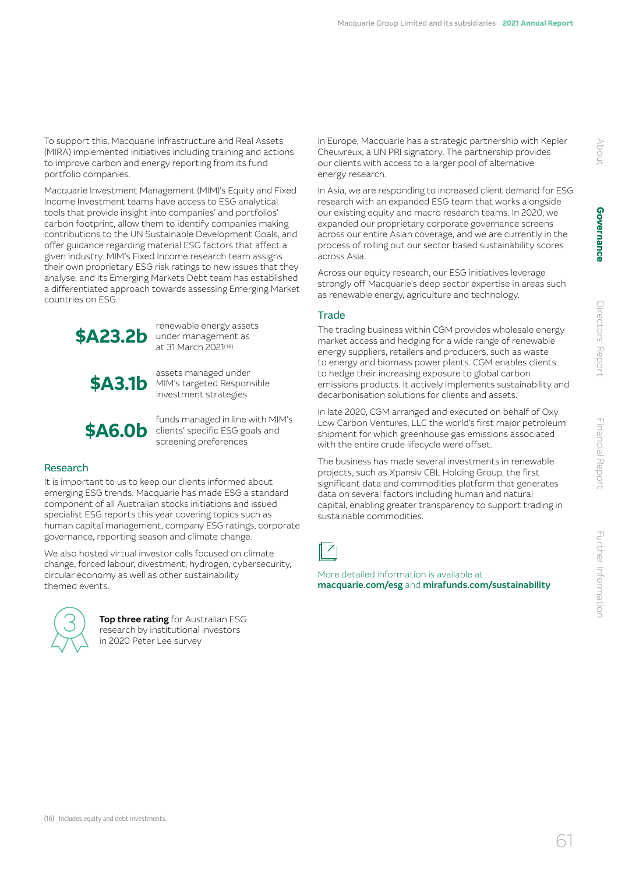To support this, Macquarie Infrastructure and Real Assets (MIRA) implemented initiatives including training and actions to improve carbon and energy reporting from its fund portfolio companies.

Macquarie Investment Management (MIM)'s Equity and Fixed Income Investment teams have access to ESG analytical tools that provide insight into companies' and portfolios' carbon footprint, allow them to identify companies making contributions to the UN Sustainable Development Goals, and offer guidance regarding material ESG factors that affect a given industry. MIM's Fixed Income research team assigns their own proprietary ESG risk ratings to new issues that they analyse, and its Emerging Markets Debt team has established a differentiated approach towards assessing Emerging Market countries on ESG.



**\$A23.2b** renewable energy assets under management as at 31 March 2021(16)

**\$A3.1b** assets managed under<br> **\$A3.1b** Investment strategies Investment strategies



**\$A6.0b** funds managed in line with MIM's<br>
clients' specific ESG goals and screening preferences

### Research

It is important to us to keep our clients informed about emerging ESG trends. Macquarie has made ESG a standard component of all Australian stocks initiations and issued specialist ESG reports this year covering topics such as human capital management, company ESG ratings, corporate governance, reporting season and climate change.

We also hosted virtual investor calls focused on climate change, forced labour, divestment, hydrogen, cybersecurity, circular economy as well as other sustainability themed events.



Top three rating for Australian ESG research by institutional investors in 2020 Peter Lee survey

In Europe, Macquarie has a strategic partnership with Kepler Cheuvreux, a UN PRI signatory. The partnership provides our clients with access to a larger pool of alternative energy research.

In Asia, we are responding to increased client demand for ESG research with an expanded ESG team that works alongside our existing equity and macro research teams. In 2020, we expanded our proprietary corporate governance screens across our entire Asian coverage, and we are currently in the process of rolling out our sector based sustainability scores across Asia.

Across our equity research, our ESG initiatives leverage strongly off Macquarie's deep sector expertise in areas such as renewable energy, agriculture and technology.

### **Trade**

The trading business within CGM provides wholesale energy market access and hedging for a wide range of renewable energy suppliers, retailers and producers, such as waste to energy and biomass power plants. CGM enables clients to hedge their increasing exposure to global carbon emissions products. It actively implements sustainability and decarbonisation solutions for clients and assets.

In late 2020, CGM arranged and executed on behalf of Oxy Low Carbon Ventures, LLC the world's first major petroleum shipment for which greenhouse gas emissions associated with the entire crude lifecycle were offset.

The business has made several investments in renewable projects, such as Xpansiv CBL Holding Group, the first significant data and commodities platform that generates data on several factors including human and natural capital, enabling greater transparency to support trading in sustainable commodities.



More detailed information is available at [macquarie.com/esg](http://macquarie.com/esg) and [mirafunds.com/sustainability](http://mirafunds.com/sustainability)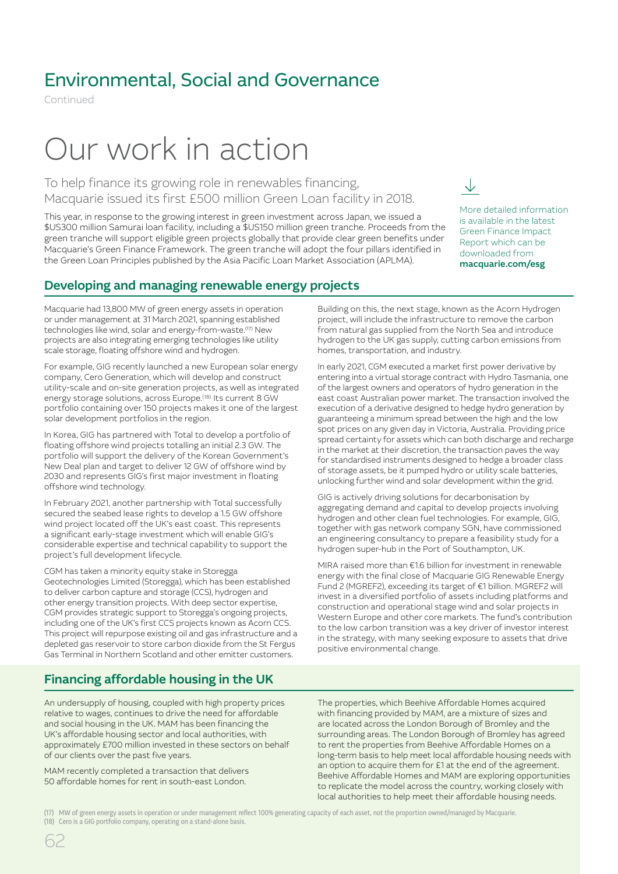Continued

# Our work in action

To help finance its growing role in renewables financing, Macquarie issued its first £500 million Green Loan facility in 2018.

This year, in response to the growing interest in green investment across Japan, we issued a \$US300 million Samurai loan facility, including a \$US150 million green tranche. Proceeds from the green tranche will support eligible green projects globally that provide clear green benefits under Macquarie's Green Finance Framework. The green tranche will adopt the four pillars identified in the Green Loan Principles published by the Asia Pacific Loan Market Association (APLMA).

### More detailed information is available in the latest Green Finance Impact Report which can be downloaded from [macquarie.com/esg](http://macquarie.com/esg)

↓

### Developing and managing renewable energy projects

Macquarie had 13,800 MW of green energy assets in operation or under management at 31 March 2021, spanning established technologies like wind, solar and energy-from-waste.(17) New projects are also integrating emerging technologies like utility scale storage, floating offshore wind and hydrogen.

For example, GIG recently launched a new European solar energy company, Cero Generation, which will develop and construct utility-scale and on-site generation projects, as well as integrated energy storage solutions, across Europe.(18) Its current 8 GW portfolio containing over 150 projects makes it one of the largest solar development portfolios in the region.

In Korea, GIG has partnered with Total to develop a portfolio of floating offshore wind projects totalling an initial 2.3 GW. The portfolio will support the delivery of the Korean Government's New Deal plan and target to deliver 12 GW of offshore wind by 2030 and represents GIG's first major investment in floating offshore wind technology.

In February 2021, another partnership with Total successfully secured the seabed lease rights to develop a 1.5 GW offshore wind project located off the UK's east coast. This represents a significant early-stage investment which will enable GIG's considerable expertise and technical capability to support the project's full development lifecycle.

CGM has taken a minority equity stake in Storegga Geotechnologies Limited (Storegga), which has been established to deliver carbon capture and storage (CCS), hydrogen and other energy transition projects. With deep sector expertise, CGM provides strategic support to Storegga's ongoing projects, including one of the UK's first CCS projects known as Acorn CCS. This project will repurpose existing oil and gas infrastructure and a depleted gas reservoir to store carbon dioxide from the St Fergus Gas Terminal in Northern Scotland and other emitter customers.

### Financing affordable housing in the UK

An undersupply of housing, coupled with high property prices relative to wages, continues to drive the need for affordable and social housing in the UK. MAM has been financing the UK's affordable housing sector and local authorities, with approximately £700 million invested in these sectors on behalf of our clients over the past five years.

MAM recently completed a transaction that delivers 50 affordable homes for rent in south-east London.

Building on this, the next stage, known as the Acorn Hydrogen project, will include the infrastructure to remove the carbon from natural gas supplied from the North Sea and introduce hydrogen to the UK gas supply, cutting carbon emissions from homes, transportation, and industry.

In early 2021, CGM executed a market first power derivative by entering into a virtual storage contract with Hydro Tasmania, one of the largest owners and operators of hydro generation in the east coast Australian power market. The transaction involved the execution of a derivative designed to hedge hydro generation by guaranteeing a minimum spread between the high and the low spot prices on any given day in Victoria, Australia. Providing price spread certainty for assets which can both discharge and recharge in the market at their discretion, the transaction paves the way for standardised instruments designed to hedge a broader class of storage assets, be it pumped hydro or utility scale batteries, unlocking further wind and solar development within the grid.

GIG is actively driving solutions for decarbonisation by aggregating demand and capital to develop projects involving hydrogen and other clean fuel technologies. For example, GIG, together with gas network company SGN, have commissioned an engineering consultancy to prepare a feasibility study for a hydrogen super-hub in the Port of Southampton, UK.

MIRA raised more than €1.6 billion for investment in renewable energy with the final close of Macquarie GIG Renewable Energy Fund 2 (MGREF2), exceeding its target of €1 billion. MGREF2 will invest in a diversified portfolio of assets including platforms and construction and operational stage wind and solar projects in Western Europe and other core markets. The fund's contribution to the low carbon transition was a key driver of investor interest in the strategy, with many seeking exposure to assets that drive positive environmental change.

The properties, which Beehive Affordable Homes acquired with financing provided by MAM, are a mixture of sizes and are located across the London Borough of Bromley and the surrounding areas. The London Borough of Bromley has agreed to rent the properties from Beehive Affordable Homes on a long-term basis to help meet local affordable housing needs with an option to acquire them for £1 at the end of the agreement. Beehive Affordable Homes and MAM are exploring opportunities to replicate the model across the country, working closely with local authorities to help meet their affordable housing needs.

<sup>(17)</sup> MW of green energy assets in operation or under management reflect 100% generating capacity of each asset, not the proportion owned/managed by Macquarie. (18) Cero is a GIG portfolio company, operating on a stand-alone basis.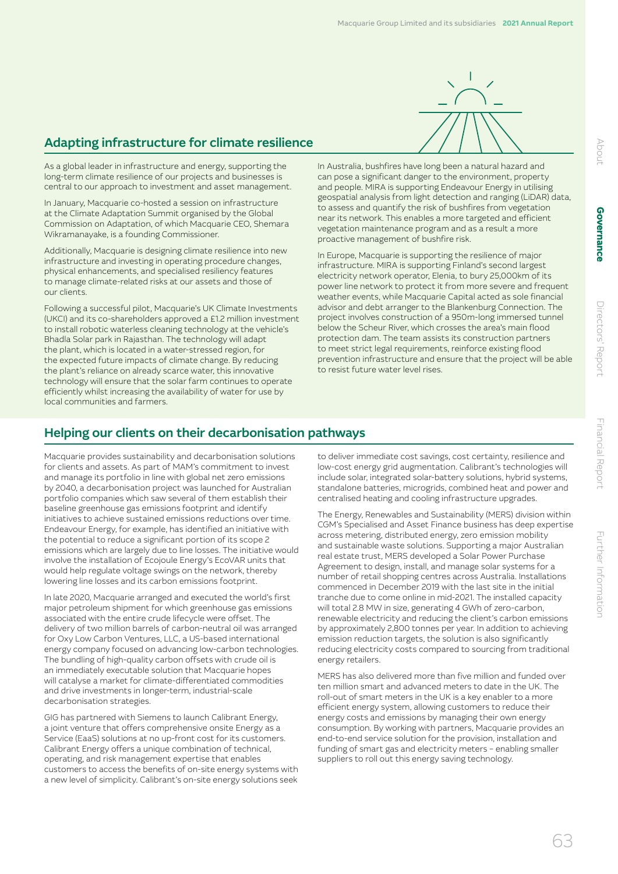

### Adapting infrastructure for climate resilience

As a global leader in infrastructure and energy, supporting the long-term climate resilience of our projects and businesses is central to our approach to investment and asset management.

In January, Macquarie co-hosted a session on infrastructure at the Climate Adaptation Summit organised by the Global Commission on Adaptation, of which Macquarie CEO, Shemara Wikramanayake, is a founding Commissioner.

Additionally, Macquarie is designing climate resilience into new infrastructure and investing in operating procedure changes, physical enhancements, and specialised resiliency features to manage climate-related risks at our assets and those of our clients.

Following a successful pilot, Macquarie's UK Climate Investments (UKCI) and its co-shareholders approved a £1.2 million investment to install robotic waterless cleaning technology at the vehicle's Bhadla Solar park in Rajasthan. The technology will adapt the plant, which is located in a water-stressed region, for the expected future impacts of climate change. By reducing the plant's reliance on already scarce water, this innovative technology will ensure that the solar farm continues to operate efficiently whilst increasing the availability of water for use by local communities and farmers.

In Australia, bushfires have long been a natural hazard and can pose a significant danger to the environment, property and people. MIRA is supporting Endeavour Energy in utilising geospatial analysis from light detection and ranging (LiDAR) data, to assess and quantify the risk of bushfires from vegetation near its network. This enables a more targeted and efficient vegetation maintenance program and as a result a more proactive management of bushfire risk.

In Europe, Macquarie is supporting the resilience of major infrastructure. MIRA is supporting Finland's second largest electricity network operator, Elenia, to bury 25,000km of its power line network to protect it from more severe and frequent weather events, while Macquarie Capital acted as sole financial advisor and debt arranger to the Blankenburg Connection. The project involves construction of a 950m-long immersed tunnel below the Scheur River, which crosses the area's main flood protection dam. The team assists its construction partners to meet strict legal requirements, reinforce existing flood prevention infrastructure and ensure that the project will be able to resist future water level rises.

## Helping our clients on their decarbonisation pathways

Macquarie provides sustainability and decarbonisation solutions for clients and assets. As part of MAM's commitment to invest and manage its portfolio in line with global net zero emissions by 2040, a decarbonisation project was launched for Australian portfolio companies which saw several of them establish their baseline greenhouse gas emissions footprint and identify initiatives to achieve sustained emissions reductions over time. Endeavour Energy, for example, has identified an initiative with the potential to reduce a significant portion of its scope 2 emissions which are largely due to line losses. The initiative would involve the installation of Ecojoule Energy's EcoVAR units that would help regulate voltage swings on the network, thereby lowering line losses and its carbon emissions footprint.

In late 2020, Macquarie arranged and executed the world's first major petroleum shipment for which greenhouse gas emissions associated with the entire crude lifecycle were offset. The delivery of two million barrels of carbon-neutral oil was arranged for Oxy Low Carbon Ventures, LLC, a US-based international energy company focused on advancing low-carbon technologies. The bundling of high-quality carbon offsets with crude oil is an immediately executable solution that Macquarie hopes will catalyse a market for climate-differentiated commodities and drive investments in longer-term, industrial-scale decarbonisation strategies.

GIG has partnered with Siemens to launch Calibrant Energy, a joint venture that offers comprehensive onsite Energy as a Service (EaaS) solutions at no up-front cost for its customers. Calibrant Energy offers a unique combination of technical, operating, and risk management expertise that enables customers to access the benefits of on-site energy systems with a new level of simplicity. Calibrant's on-site energy solutions seek

to deliver immediate cost savings, cost certainty, resilience and low-cost energy grid augmentation. Calibrant's technologies will include solar, integrated solar-battery solutions, hybrid systems, standalone batteries, microgrids, combined heat and power and centralised heating and cooling infrastructure upgrades.

The Energy, Renewables and Sustainability (MERS) division within CGM's Specialised and Asset Finance business has deep expertise across metering, distributed energy, zero emission mobility and sustainable waste solutions. Supporting a major Australian real estate trust, MERS developed a Solar Power Purchase Agreement to design, install, and manage solar systems for a number of retail shopping centres across Australia. Installations commenced in December 2019 with the last site in the initial tranche due to come online in mid-2021. The installed capacity will total 2.8 MW in size, generating 4 GWh of zero-carbon, renewable electricity and reducing the client's carbon emissions by approximately 2,800 tonnes per year. In addition to achieving emission reduction targets, the solution is also significantly reducing electricity costs compared to sourcing from traditional energy retailers.

MERS has also delivered more than five million and funded over ten million smart and advanced meters to date in the UK. The roll-out of smart meters in the UK is a key enabler to a more efficient energy system, allowing customers to reduce their energy costs and emissions by managing their own energy consumption. By working with partners, Macquarie provides an end-to-end service solution for the provision, installation and funding of smart gas and electricity meters – enabling smaller suppliers to roll out this energy saving technology.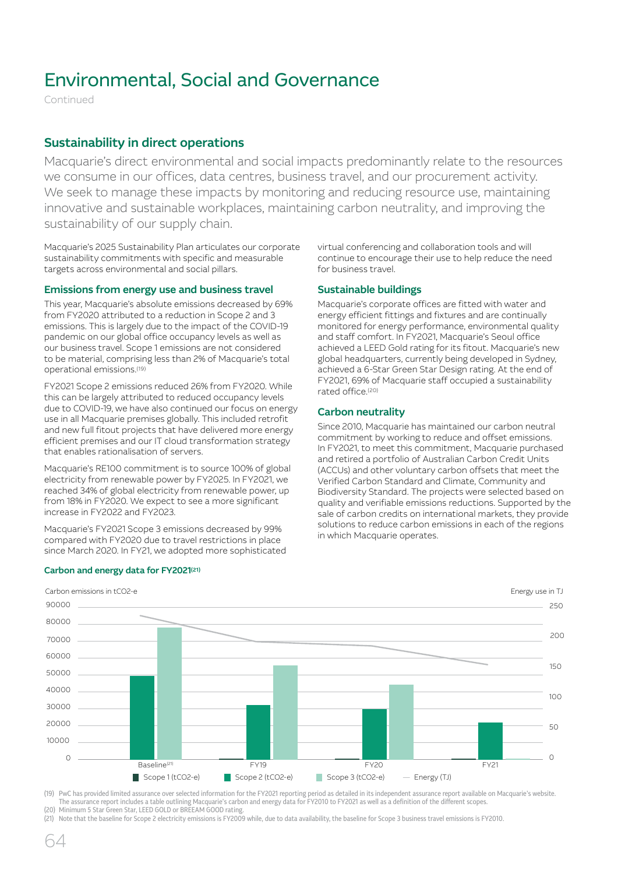Continued

### Sustainability in direct operations

Macquarie's direct environmental and social impacts predominantly relate to the resources we consume in our offices, data centres, business travel, and our procurement activity. We seek to manage these impacts by monitoring and reducing resource use, maintaining innovative and sustainable workplaces, maintaining carbon neutrality, and improving the sustainability of our supply chain.

Macquarie's 2025 Sustainability Plan articulates our corporate sustainability commitments with specific and measurable targets across environmental and social pillars.

### Emissions from energy use and business travel

This year, Macquarie's absolute emissions decreased by 69% from FY2020 attributed to a reduction in Scope 2 and 3 emissions. This is largely due to the impact of the COVID-19 pandemic on our global office occupancy levels as well as our business travel. Scope 1 emissions are not considered to be material, comprising less than 2% of Macquarie's total operational emissions.(19)

FY2021 Scope 2 emissions reduced 26% from FY2020. While this can be largely attributed to reduced occupancy levels due to COVID-19, we have also continued our focus on energy use in all Macquarie premises globally. This included retrofit and new full fitout projects that have delivered more energy efficient premises and our IT cloud transformation strategy that enables rationalisation of servers.

Macquarie's RE100 commitment is to source 100% of global electricity from renewable power by FY2025. In FY2021, we reached 34% of global electricity from renewable power, up from 18% in FY2020. We expect to see a more significant increase in FY2022 and FY2023.

Macquarie's FY2021 Scope 3 emissions decreased by 99% compared with FY2020 due to travel restrictions in place since March 2020. In FY21, we adopted more sophisticated virtual conferencing and collaboration tools and will continue to encourage their use to help reduce the need for business travel.

### Sustainable buildings

Macquarie's corporate offices are fitted with water and energy efficient fittings and fixtures and are continually monitored for energy performance, environmental quality and staff comfort. In FY2021, Macquarie's Seoul office achieved a LEED Gold rating for its fitout. Macquarie's new global headquarters, currently being developed in Sydney, achieved a 6-Star Green Star Design rating. At the end of FY2021, 69% of Macquarie staff occupied a sustainability rated office.(20)

### Carbon neutrality

Since 2010, Macquarie has maintained our carbon neutral commitment by working to reduce and offset emissions. In FY2021, to meet this commitment, Macquarie purchased and retired a portfolio of Australian Carbon Credit Units (ACCUs) and other voluntary carbon offsets that meet the Verified Carbon Standard and Climate, Community and Biodiversity Standard. The projects were selected based on quality and verifiable emissions reductions. Supported by the sale of carbon credits on international markets, they provide solutions to reduce carbon emissions in each of the regions in which Macquarie operates.



### Carbon and energy data for FY2021(21)

(19) PwC has provided limited assurance over selected information for the FY2021 reporting period as detailed in its independent assurance report available on Macquarie's website. The assurance report includes a table outlining Macquarie's carbon and energy data for FY2010 to FY2021 as well as a definition of the different scopes. (20) Minimum 5 Star Green Star, LEED GOLD or BREEAM GOOD rating.

(21) Note that the baseline for Scope 2 electricity emissions is FY2009 while, due to data availability, the baseline for Scope 3 business travel emissions is FY2010.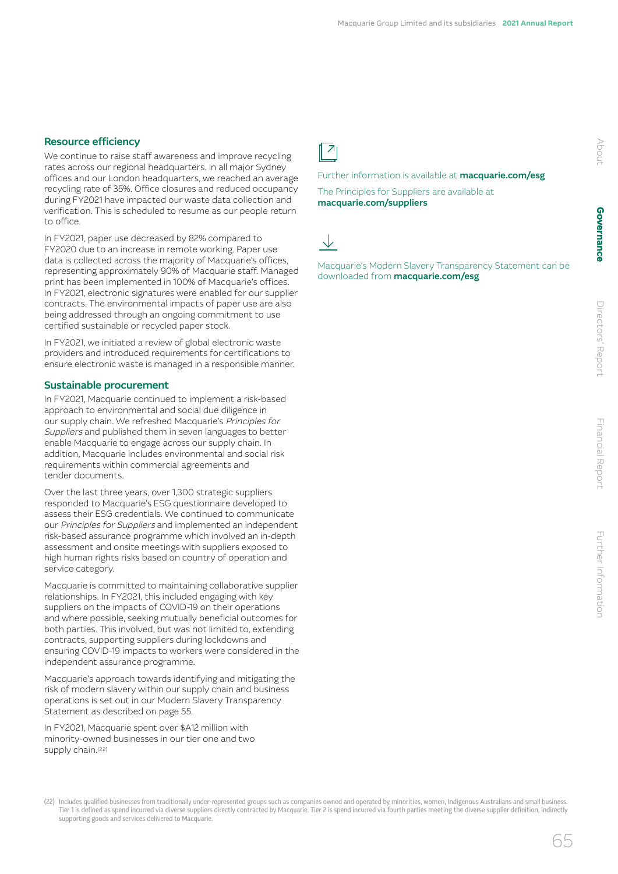### Resource efficiency

We continue to raise staff awareness and improve recycling rates across our regional headquarters. In all major Sydney offices and our London headquarters, we reached an average recycling rate of 35%. Office closures and reduced occupancy during FY2021 have impacted our waste data collection and verification. This is scheduled to resume as our people return to office.

In FY2021, paper use decreased by 82% compared to FY2020 due to an increase in remote working. Paper use data is collected across the majority of Macquarie's offices, representing approximately 90% of Macquarie staff. Managed print has been implemented in 100% of Macquarie's offices. In FY2021, electronic signatures were enabled for our supplier contracts. The environmental impacts of paper use are also being addressed through an ongoing commitment to use certified sustainable or recycled paper stock.

In FY2021, we initiated a review of global electronic waste providers and introduced requirements for certifications to ensure electronic waste is managed in a responsible manner.

### Sustainable procurement

In FY2021, Macquarie continued to implement a risk-based approach to environmental and social due diligence in our supply chain. We refreshed Macquarie's Principles for Suppliers and published them in seven languages to better enable Macquarie to engage across our supply chain. In addition, Macquarie includes environmental and social risk requirements within commercial agreements and tender documents.

Over the last three years, over 1,300 strategic suppliers responded to Macquarie's ESG questionnaire developed to assess their ESG credentials. We continued to communicate our Principles for Suppliers and implemented an independent risk-based assurance programme which involved an in-depth assessment and onsite meetings with suppliers exposed to high human rights risks based on country of operation and service category.

Macquarie is committed to maintaining collaborative supplier relationships. In FY2021, this included engaging with key suppliers on the impacts of COVID-19 on their operations and where possible, seeking mutually beneficial outcomes for both parties. This involved, but was not limited to, extending contracts, supporting suppliers during lockdowns and ensuring COVID-19 impacts to workers were considered in the independent assurance programme.

Macquarie's approach towards identifying and mitigating the risk of modern slavery within our supply chain and business operations is set out in our Modern Slavery Transparency Statement as described on page 55.

In FY2021, Macquarie spent over \$A12 million with minority-owned businesses in our tier one and two supply chain.<sup>(22)</sup>

# $\overline{z}$

Further information is available at **[macquarie.com/esg](http://macquarie.com/esg)** 

The Principles for Suppliers are available at [macquarie.com/suppliers](http://macquarie.com/suppliers)

Macquarie's Modern Slavery Transparency Statement can be downloaded from [macquarie.com/esg](http://macquarie.com/esg)

### (22) Includes qualified businesses from traditionally under‑represented groups such as companies owned and operated by minorities, women, Indigenous Australians and small business. Tier 1 is defined as spend incurred via diverse suppliers directly contracted by Macquarie. Tier 2 is spend incurred via fourth parties meeting the diverse supplier definition, indirectly supporting goods and services delivered to Macquarie.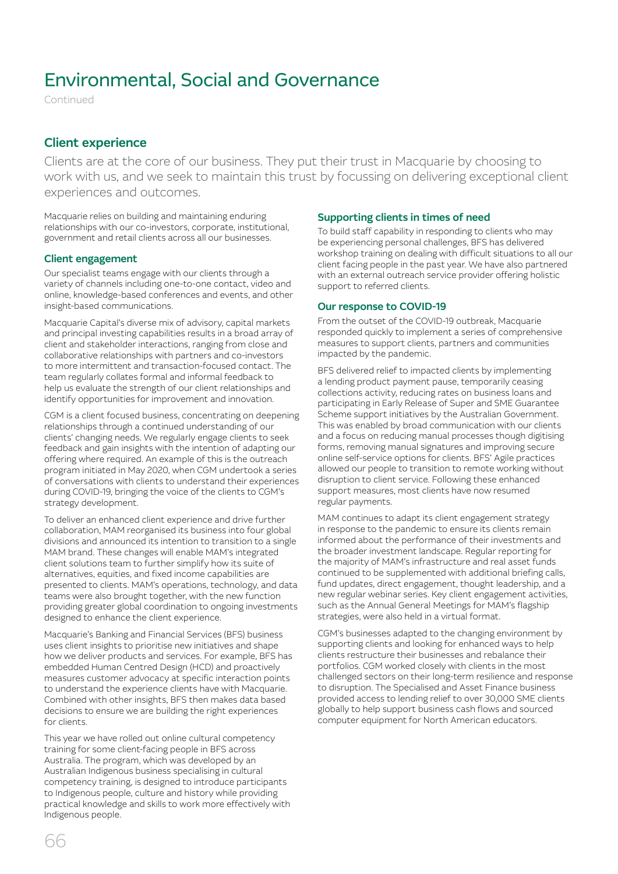Continued

### Client experience

Clients are at the core of our business. They put their trust in Macquarie by choosing to work with us, and we seek to maintain this trust by focussing on delivering exceptional client experiences and outcomes.

Macquarie relies on building and maintaining enduring relationships with our co-investors, corporate, institutional, government and retail clients across all our businesses.

### Client engagement

Our specialist teams engage with our clients through a variety of channels including one-to-one contact, video and online, knowledge-based conferences and events, and other insight-based communications.

Macquarie Capital's diverse mix of advisory, capital markets and principal investing capabilities results in a broad array of client and stakeholder interactions, ranging from close and collaborative relationships with partners and co-investors to more intermittent and transaction-focused contact. The team regularly collates formal and informal feedback to help us evaluate the strength of our client relationships and identify opportunities for improvement and innovation.

CGM is a client focused business, concentrating on deepening relationships through a continued understanding of our clients' changing needs. We regularly engage clients to seek feedback and gain insights with the intention of adapting our offering where required. An example of this is the outreach program initiated in May 2020, when CGM undertook a series of conversations with clients to understand their experiences during COVID-19, bringing the voice of the clients to CGM's strategy development.

To deliver an enhanced client experience and drive further collaboration, MAM reorganised its business into four global divisions and announced its intention to transition to a single MAM brand. These changes will enable MAM's integrated client solutions team to further simplify how its suite of alternatives, equities, and fixed income capabilities are presented to clients. MAM's operations, technology, and data teams were also brought together, with the new function providing greater global coordination to ongoing investments designed to enhance the client experience.

Macquarie's Banking and Financial Services (BFS) business uses client insights to prioritise new initiatives and shape how we deliver products and services. For example, BFS has embedded Human Centred Design (HCD) and proactively measures customer advocacy at specific interaction points to understand the experience clients have with Macquarie. Combined with other insights, BFS then makes data based decisions to ensure we are building the right experiences for clients.

This year we have rolled out online cultural competency training for some client-facing people in BFS across Australia. The program, which was developed by an Australian Indigenous business specialising in cultural competency training, is designed to introduce participants to Indigenous people, culture and history while providing practical knowledge and skills to work more effectively with Indigenous people.

### Supporting clients in times of need

To build staff capability in responding to clients who may be experiencing personal challenges, BFS has delivered workshop training on dealing with difficult situations to all our client facing people in the past year. We have also partnered with an external outreach service provider offering holistic support to referred clients.

### Our response to COVID-19

From the outset of the COVID-19 outbreak, Macquarie responded quickly to implement a series of comprehensive measures to support clients, partners and communities impacted by the pandemic.

BFS delivered relief to impacted clients by implementing a lending product payment pause, temporarily ceasing collections activity, reducing rates on business loans and participating in Early Release of Super and SME Guarantee Scheme support initiatives by the Australian Government. This was enabled by broad communication with our clients and a focus on reducing manual processes though digitising forms, removing manual signatures and improving secure online self-service options for clients. BFS' Agile practices allowed our people to transition to remote working without disruption to client service. Following these enhanced support measures, most clients have now resumed regular payments.

MAM continues to adapt its client engagement strategy in response to the pandemic to ensure its clients remain informed about the performance of their investments and the broader investment landscape. Regular reporting for the majority of MAM's infrastructure and real asset funds continued to be supplemented with additional briefing calls, fund updates, direct engagement, thought leadership, and a new regular webinar series. Key client engagement activities, such as the Annual General Meetings for MAM's flagship strategies, were also held in a virtual format.

CGM's businesses adapted to the changing environment by supporting clients and looking for enhanced ways to help clients restructure their businesses and rebalance their portfolios. CGM worked closely with clients in the most challenged sectors on their long-term resilience and response to disruption. The Specialised and Asset Finance business provided access to lending relief to over 30,000 SME clients globally to help support business cash flows and sourced computer equipment for North American educators.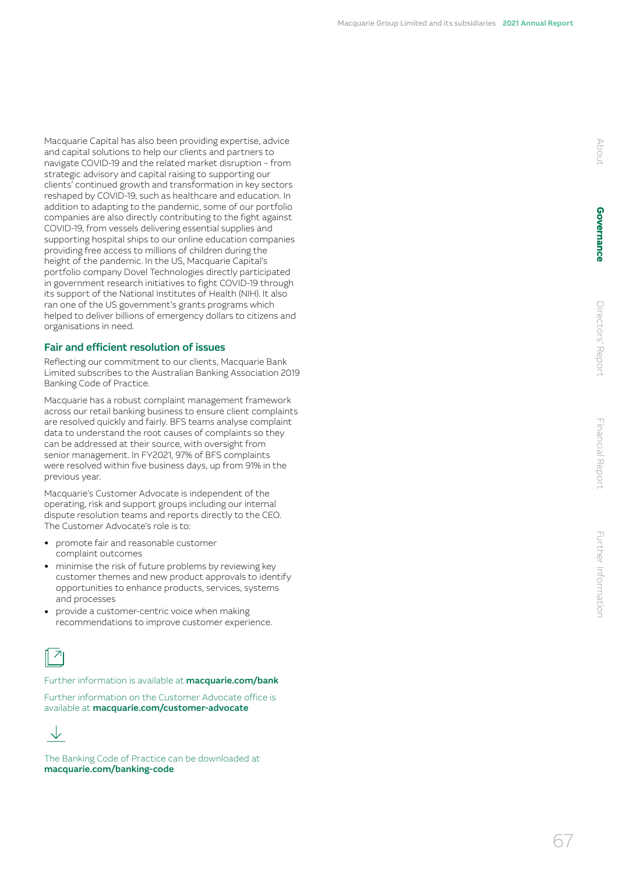Macquarie Capital has also been providing expertise, advice and capital solutions to help our clients and partners to navigate COVID-19 and the related market disruption – from strategic advisory and capital raising to supporting our clients' continued growth and transformation in key sectors reshaped by COVID-19, such as healthcare and education. In addition to adapting to the pandemic, some of our portfolio companies are also directly contributing to the fight against COVID-19, from vessels delivering essential supplies and supporting hospital ships to our online education companies providing free access to millions of children during the height of the pandemic. In the US, Macquarie Capital's portfolio company Dovel Technologies directly participated in government research initiatives to fight COVID-19 through its support of the National Institutes of Health (NIH). It also ran one of the US government's grants programs which helped to deliver billions of emergency dollars to citizens and organisations in need.

### Fair and efficient resolution of issues

Reflecting our commitment to our clients, Macquarie Bank Limited subscribes to the Australian Banking Association 2019 Banking Code of Practice.

Macquarie has a robust complaint management framework across our retail banking business to ensure client complaints are resolved quickly and fairly. BFS teams analyse complaint data to understand the root causes of complaints so they can be addressed at their source, with oversight from senior management. In FY2021, 97% of BFS complaints were resolved within five business days, up from 91% in the previous year.

Macquarie's Customer Advocate is independent of the operating, risk and support groups including our internal dispute resolution teams and reports directly to the CEO. The Customer Advocate's role is to:

- promote fair and reasonable customer complaint outcomes
- minimise the risk of future problems by reviewing key customer themes and new product approvals to identify opportunities to enhance products, services, systems and processes
- provide a customer-centric voice when making recommendations to improve customer experience.



Further information is available at **[macquarie.com/bank](http://macquarie.com/bank)** 

Further information on the Customer Advocate office is available at [macquarie.com/customer-advocate](http://macquarie.com/customer-advocate)



The Banking Code of Practice can be downloaded at [macquarie.com/banking-code](http://macquarie.com/banking-code)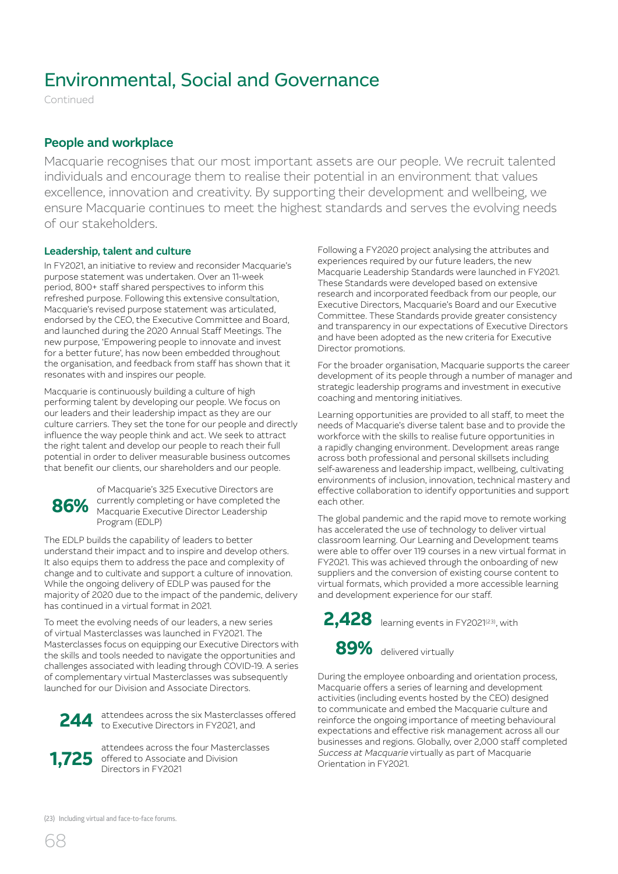Continued

### People and workplace

Macquarie recognises that our most important assets are our people. We recruit talented individuals and encourage them to realise their potential in an environment that values excellence, innovation and creativity. By supporting their development and wellbeing, we ensure Macquarie continues to meet the highest standards and serves the evolving needs of our stakeholders.

### Leadership, talent and culture

In FY2021, an initiative to review and reconsider Macquarie's purpose statement was undertaken. Over an 11-week period, 800+ staff shared perspectives to inform this refreshed purpose. Following this extensive consultation, Macquarie's revised purpose statement was articulated, endorsed by the CEO, the Executive Committee and Board, and launched during the 2020 Annual Staff Meetings. The new purpose, 'Empowering people to innovate and invest for a better future', has now been embedded throughout the organisation, and feedback from staff has shown that it resonates with and inspires our people.

Macquarie is continuously building a culture of high performing talent by developing our people. We focus on our leaders and their leadership impact as they are our culture carriers. They set the tone for our people and directly influence the way people think and act. We seek to attract the right talent and develop our people to reach their full potential in order to deliver measurable business outcomes that benefit our clients, our shareholders and our people.



of Macquarie's 325 Executive Directors are currently completing or have completed the Macquarie Executive Director Leadership Program (EDLP)

The EDLP builds the capability of leaders to better understand their impact and to inspire and develop others. It also equips them to address the pace and complexity of change and to cultivate and support a culture of innovation. While the ongoing delivery of EDLP was paused for the majority of 2020 due to the impact of the pandemic, delivery has continued in a virtual format in 2021.

To meet the evolving needs of our leaders, a new series of virtual Masterclasses was launched in FY2021. The Masterclasses focus on equipping our Executive Directors with the skills and tools needed to navigate the opportunities and challenges associated with leading through COVID-19. A series of complementary virtual Masterclasses was subsequently launched for our Division and Associate Directors.



244 attendees across the six Masterclasses offered to Executive Directors in FY2021, and



attendees across the four Masterclasses offered to Associate and Division Directors in FY2021

Following a FY2020 project analysing the attributes and experiences required by our future leaders, the new Macquarie Leadership Standards were launched in FY2021. These Standards were developed based on extensive research and incorporated feedback from our people, our Executive Directors, Macquarie's Board and our Executive Committee. These Standards provide greater consistency and transparency in our expectations of Executive Directors and have been adopted as the new criteria for Executive Director promotions.

For the broader organisation, Macquarie supports the career development of its people through a number of manager and strategic leadership programs and investment in executive coaching and mentoring initiatives.

Learning opportunities are provided to all staff, to meet the needs of Macquarie's diverse talent base and to provide the workforce with the skills to realise future opportunities in a rapidly changing environment. Development areas range across both professional and personal skillsets including self-awareness and leadership impact, wellbeing, cultivating environments of inclusion, innovation, technical mastery and effective collaboration to identify opportunities and support each other.

The global pandemic and the rapid move to remote working has accelerated the use of technology to deliver virtual classroom learning. Our Learning and Development teams were able to offer over 119 courses in a new virtual format in FY2021. This was achieved through the onboarding of new suppliers and the conversion of existing course content to virtual formats, which provided a more accessible learning and development experience for our staff.



During the employee onboarding and orientation process, Macquarie offers a series of learning and development activities (including events hosted by the CEO) designed to communicate and embed the Macquarie culture and reinforce the ongoing importance of meeting behavioural expectations and effective risk management across all our businesses and regions. Globally, over 2,000 staff completed Success at Macquarie virtually as part of Macquarie Orientation in FY2021.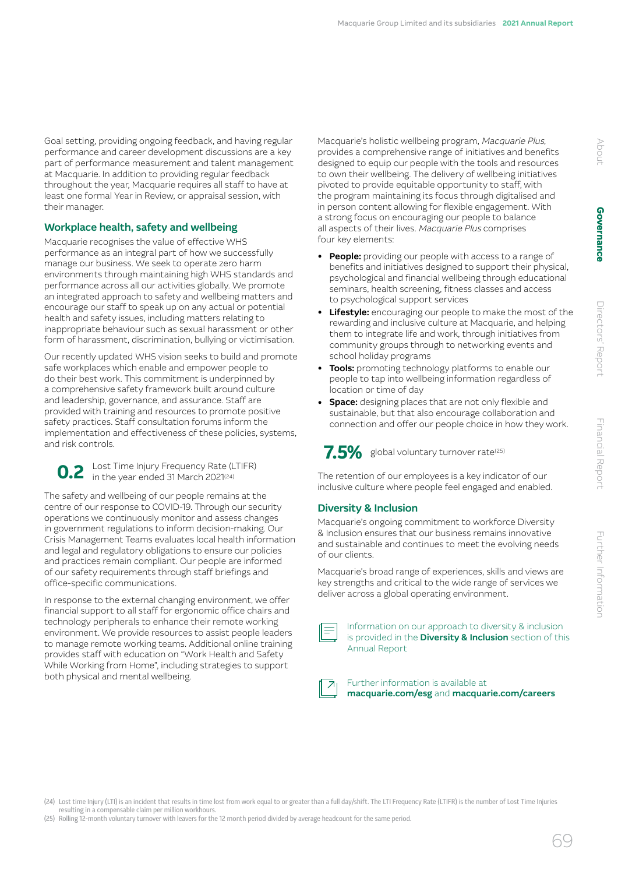Goal setting, providing ongoing feedback, and having regular performance and career development discussions are a key part of performance measurement and talent management at Macquarie. In addition to providing regular feedback throughout the year, Macquarie requires all staff to have at least one formal Year in Review, or appraisal session, with their manager.

### Workplace health, safety and wellbeing

Macquarie recognises the value of effective WHS performance as an integral part of how we successfully manage our business. We seek to operate zero harm environments through maintaining high WHS standards and performance across all our activities globally. We promote an integrated approach to safety and wellbeing matters and encourage our staff to speak up on any actual or potential health and safety issues, including matters relating to inappropriate behaviour such as sexual harassment or other form of harassment, discrimination, bullying or victimisation.

Our recently updated WHS vision seeks to build and promote safe workplaces which enable and empower people to do their best work. This commitment is underpinned by a comprehensive safety framework built around culture and leadership, governance, and assurance. Staff are provided with training and resources to promote positive safety practices. Staff consultation forums inform the implementation and effectiveness of these policies, systems, and risk controls.

**0.2** Lost Time Injury Frequency Rate (LTIFR)<br>in the year ended 31 March 2021<sup>(24)</sup>

The safety and wellbeing of our people remains at the centre of our response to COVID-19. Through our security operations we continuously monitor and assess changes in government regulations to inform decision-making. Our Crisis Management Teams evaluates local health information and legal and regulatory obligations to ensure our policies and practices remain compliant. Our people are informed of our safety requirements through staff briefings and office-specific communications.

In response to the external changing environment, we offer financial support to all staff for ergonomic office chairs and technology peripherals to enhance their remote working environment. We provide resources to assist people leaders to manage remote working teams. Additional online training provides staff with education on "Work Health and Safety While Working from Home", including strategies to support both physical and mental wellbeing.

Macquarie's holistic wellbeing program, Macquarie Plus, provides a comprehensive range of initiatives and benefits designed to equip our people with the tools and resources to own their wellbeing. The delivery of wellbeing initiatives pivoted to provide equitable opportunity to staff, with the program maintaining its focus through digitalised and in person content allowing for flexible engagement. With a strong focus on encouraging our people to balance all aspects of their lives. Macquarie Plus comprises four key elements:

- People: providing our people with access to a range of benefits and initiatives designed to support their physical, psychological and financial wellbeing through educational seminars, health screening, fitness classes and access to psychological support services
- Lifestyle: encouraging our people to make the most of the rewarding and inclusive culture at Macquarie, and helping them to integrate life and work, through initiatives from community groups through to networking events and school holiday programs
- Tools: promoting technology platforms to enable our people to tap into wellbeing information regardless of location or time of day
- Space: designing places that are not only flexible and sustainable, but that also encourage collaboration and connection and offer our people choice in how they work.



The retention of our employees is a key indicator of our inclusive culture where people feel engaged and enabled.

### Diversity & Inclusion

Macquarie's ongoing commitment to workforce Diversity & Inclusion ensures that our business remains innovative and sustainable and continues to meet the evolving needs of our clients.

Macquarie's broad range of experiences, skills and views are key strengths and critical to the wide range of services we deliver across a global operating environment.

| ___ |
|-----|
|-----|

Information on our approach to diversity & inclusion is provided in the **Diversity & Inclusion** section of this Annual Report

### Further information is available at [macquarie.com/esg](http://macquarie.com/esg) and [macquarie.com/careers](http://macquarie.com/careers)

(24) Lost time Injury (LTI) is an incident that results in time lost from work equal to or greater than a full day/shift. The LTI Frequency Rate (LTIFR) is the number of Lost Time Injuries resulting in a compensable claim per million workhours.

(25) Rolling 12‑month voluntary turnover with leavers for the 12 month period divided by average headcount for the same period.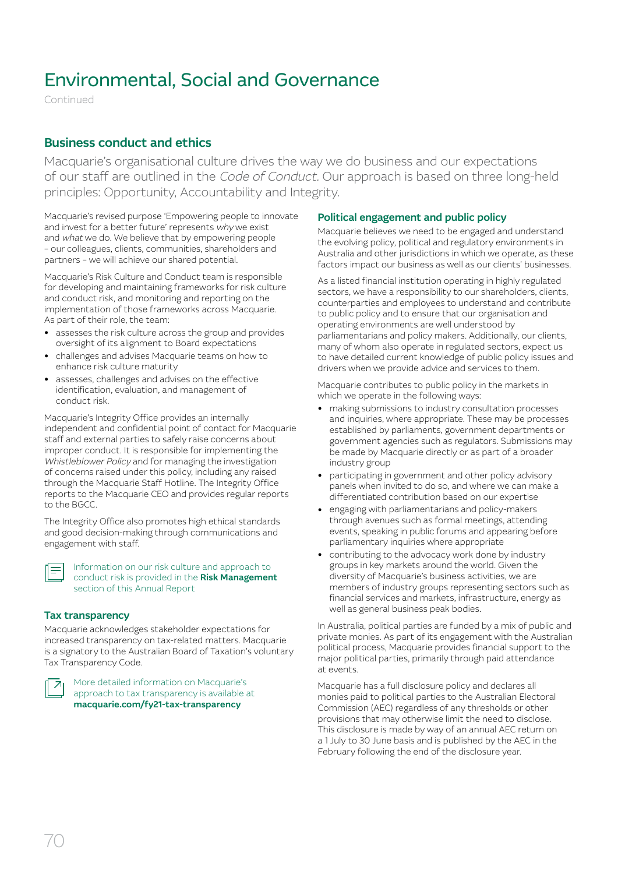Continued

### Business conduct and ethics

Macquarie's organisational culture drives the way we do business and our expectations of our staff are outlined in the Code of Conduct. Our approach is based on three long-held principles: Opportunity, Accountability and Integrity.

Macquarie's revised purpose 'Empowering people to innovate and invest for a better future' represents why we exist and what we do. We believe that by empowering people – our colleagues, clients, communities, shareholders and partners – we will achieve our shared potential.

Macquarie's Risk Culture and Conduct team is responsible for developing and maintaining frameworks for risk culture and conduct risk, and monitoring and reporting on the implementation of those frameworks across Macquarie. As part of their role, the team:

- assesses the risk culture across the group and provides oversight of its alignment to Board expectations
- challenges and advises Macquarie teams on how to enhance risk culture maturity
- assesses, challenges and advises on the effective identification, evaluation, and management of conduct risk.

Macquarie's Integrity Office provides an internally independent and confidential point of contact for Macquarie staff and external parties to safely raise concerns about improper conduct. It is responsible for implementing the Whistleblower Policy and for managing the investigation of concerns raised under this policy, including any raised through the Macquarie Staff Hotline. The Integrity Office reports to the Macquarie CEO and provides regular reports to the BGCC.

The Integrity Office also promotes high ethical standards and good decision-making through communications and engagement with staff.

Information on our risk culture and approach to conduct risk is provided in the Risk Management section of this Annual Report

### Tax transparency

Macquarie acknowledges stakeholder expectations for increased transparency on tax-related matters. Macquarie is a signatory to the Australian Board of Taxation's voluntary Tax Transparency Code.



More detailed information on Macquarie's approach to tax transparency is available at [macquarie.com/fy21-tax-transparency](http://macquarie.com/fy21-tax-transparency)

### Political engagement and public policy

Macquarie believes we need to be engaged and understand the evolving policy, political and regulatory environments in Australia and other jurisdictions in which we operate, as these factors impact our business as well as our clients' businesses.

As a listed financial institution operating in highly regulated sectors, we have a responsibility to our shareholders, clients, counterparties and employees to understand and contribute to public policy and to ensure that our organisation and operating environments are well understood by parliamentarians and policy makers. Additionally, our clients, many of whom also operate in regulated sectors, expect us to have detailed current knowledge of public policy issues and drivers when we provide advice and services to them.

Macquarie contributes to public policy in the markets in which we operate in the following ways:

- making submissions to industry consultation processes and inquiries, where appropriate. These may be processes established by parliaments, government departments or government agencies such as regulators. Submissions may be made by Macquarie directly or as part of a broader industry group
- participating in government and other policy advisory panels when invited to do so, and where we can make a differentiated contribution based on our expertise
- engaging with parliamentarians and policy-makers through avenues such as formal meetings, attending events, speaking in public forums and appearing before parliamentary inquiries where appropriate
- contributing to the advocacy work done by industry groups in key markets around the world. Given the diversity of Macquarie's business activities, we are members of industry groups representing sectors such as financial services and markets, infrastructure, energy as well as general business peak bodies.

In Australia, political parties are funded by a mix of public and private monies. As part of its engagement with the Australian political process, Macquarie provides financial support to the major political parties, primarily through paid attendance at events.

Macquarie has a full disclosure policy and declares all monies paid to political parties to the Australian Electoral Commission (AEC) regardless of any thresholds or other provisions that may otherwise limit the need to disclose. This disclosure is made by way of an annual AEC return on a 1 July to 30 June basis and is published by the AEC in the February following the end of the disclosure year.